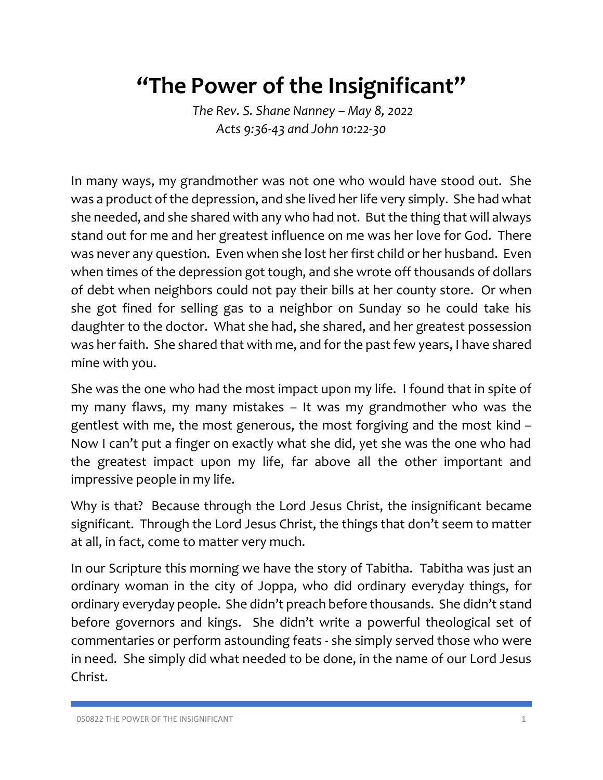## **"The Power of the Insignificant"**

*The Rev. S. Shane Nanney – May 8, 2022 Acts 9:36-43 and John 10:22-30*

In many ways, my grandmother was not one who would have stood out. She was a product of the depression, and she lived her life very simply. She had what she needed, and she shared with any who had not. But the thing that will always stand out for me and her greatest influence on me was her love for God. There was never any question. Even when she lost her first child or her husband. Even when times of the depression got tough, and she wrote off thousands of dollars of debt when neighbors could not pay their bills at her county store. Or when she got fined for selling gas to a neighbor on Sunday so he could take his daughter to the doctor. What she had, she shared, and her greatest possession was her faith. She shared that with me, and for the past few years, I have shared mine with you.

She was the one who had the most impact upon my life. I found that in spite of my many flaws, my many mistakes – It was my grandmother who was the gentlest with me, the most generous, the most forgiving and the most kind – Now I can't put a finger on exactly what she did, yet she was the one who had the greatest impact upon my life, far above all the other important and impressive people in my life.

Why is that? Because through the Lord Jesus Christ, the insignificant became significant. Through the Lord Jesus Christ, the things that don't seem to matter at all, in fact, come to matter very much.

In our Scripture this morning we have the story of Tabitha. Tabitha was just an ordinary woman in the city of Joppa, who did ordinary everyday things, for ordinary everyday people. She didn't preach before thousands. She didn't stand before governors and kings. She didn't write a powerful theological set of commentaries or perform astounding feats - she simply served those who were in need. She simply did what needed to be done, in the name of our Lord Jesus Christ.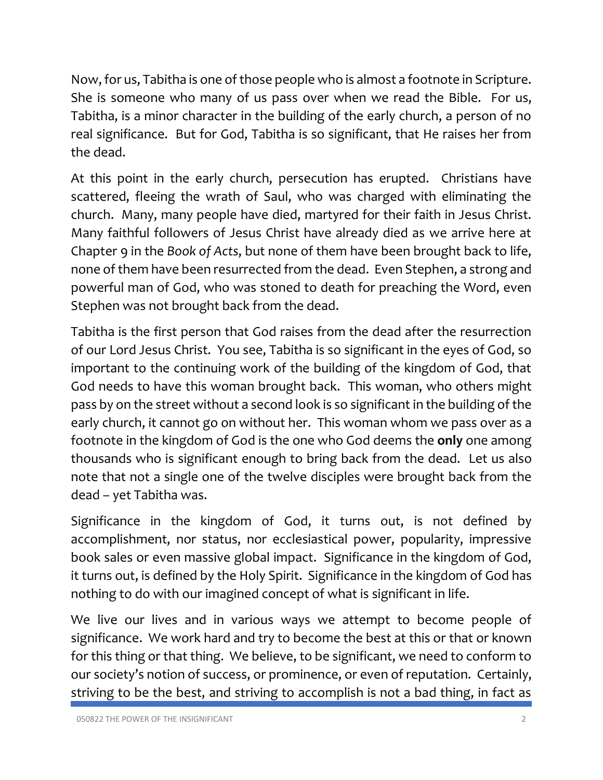Now, for us, Tabitha is one of those people who is almost a footnote in Scripture. She is someone who many of us pass over when we read the Bible. For us, Tabitha, is a minor character in the building of the early church, a person of no real significance. But for God, Tabitha is so significant, that He raises her from the dead.

At this point in the early church, persecution has erupted. Christians have scattered, fleeing the wrath of Saul, who was charged with eliminating the church. Many, many people have died, martyred for their faith in Jesus Christ. Many faithful followers of Jesus Christ have already died as we arrive here at Chapter 9 in the *Book of Acts*, but none of them have been brought back to life, none of them have been resurrected from the dead. Even Stephen, a strong and powerful man of God, who was stoned to death for preaching the Word, even Stephen was not brought back from the dead.

Tabitha is the first person that God raises from the dead after the resurrection of our Lord Jesus Christ. You see, Tabitha is so significant in the eyes of God, so important to the continuing work of the building of the kingdom of God, that God needs to have this woman brought back. This woman, who others might pass by on the street without a second look is so significant in the building of the early church, it cannot go on without her. This woman whom we pass over as a footnote in the kingdom of God is the one who God deems the **only** one among thousands who is significant enough to bring back from the dead. Let us also note that not a single one of the twelve disciples were brought back from the dead – yet Tabitha was.

Significance in the kingdom of God, it turns out, is not defined by accomplishment, nor status, nor ecclesiastical power, popularity, impressive book sales or even massive global impact. Significance in the kingdom of God, it turns out, is defined by the Holy Spirit. Significance in the kingdom of God has nothing to do with our imagined concept of what is significant in life.

We live our lives and in various ways we attempt to become people of significance. We work hard and try to become the best at this or that or known for this thing or that thing. We believe, to be significant, we need to conform to our society's notion of success, or prominence, or even of reputation. Certainly, striving to be the best, and striving to accomplish is not a bad thing, in fact as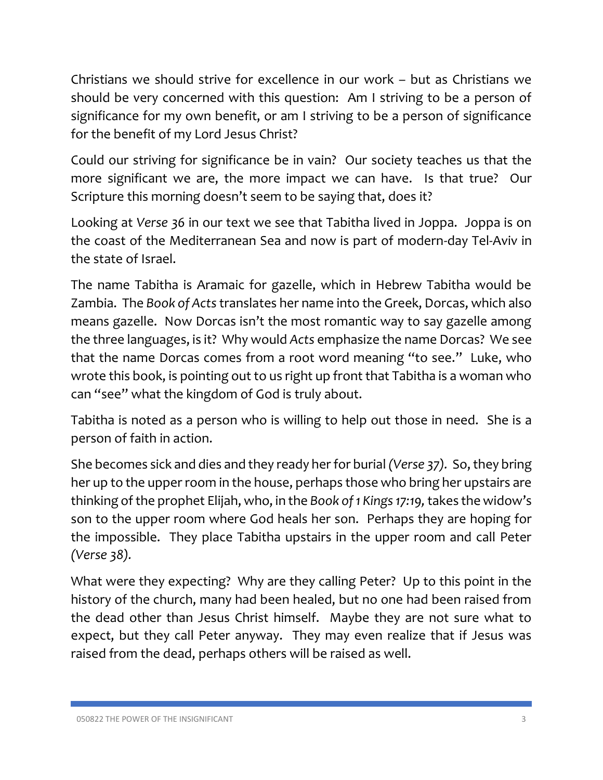Christians we should strive for excellence in our work – but as Christians we should be very concerned with this question: Am I striving to be a person of significance for my own benefit, or am I striving to be a person of significance for the benefit of my Lord Jesus Christ?

Could our striving for significance be in vain? Our society teaches us that the more significant we are, the more impact we can have. Is that true? Our Scripture this morning doesn't seem to be saying that, does it?

Looking at *Verse 36* in our text we see that Tabitha lived in Joppa. Joppa is on the coast of the Mediterranean Sea and now is part of modern-day Tel-Aviv in the state of Israel.

The name Tabitha is Aramaic for gazelle, which in Hebrew Tabitha would be Zambia. The *Book of Acts*translates her name into the Greek, Dorcas, which also means gazelle. Now Dorcas isn't the most romantic way to say gazelle among the three languages, is it? Why would *Acts* emphasize the name Dorcas? We see that the name Dorcas comes from a root word meaning "to see." Luke, who wrote this book, is pointing out to us right up front that Tabitha is a woman who can "see" what the kingdom of God is truly about.

Tabitha is noted as a person who is willing to help out those in need. She is a person of faith in action.

She becomes sick and dies and they ready her for burial *(Verse 37).* So,they bring her up to the upper room in the house, perhaps those who bring her upstairs are thinking of the prophet Elijah, who, in the *Book of 1 Kings 17:19,*takes the widow's son to the upper room where God heals her son. Perhaps they are hoping for the impossible. They place Tabitha upstairs in the upper room and call Peter *(Verse 38).* 

What were they expecting? Why are they calling Peter? Up to this point in the history of the church, many had been healed, but no one had been raised from the dead other than Jesus Christ himself. Maybe they are not sure what to expect, but they call Peter anyway. They may even realize that if Jesus was raised from the dead, perhaps others will be raised as well.